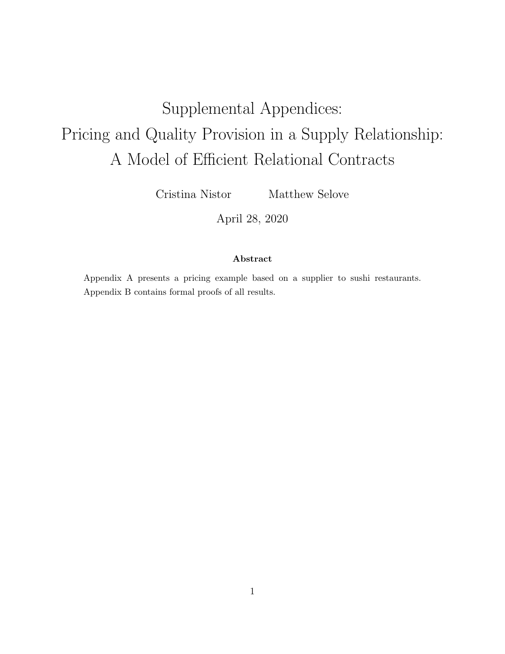# Supplemental Appendices: Pricing and Quality Provision in a Supply Relationship: A Model of Efficient Relational Contracts

Cristina Nistor Matthew Selove

April 28, 2020

# Abstract

Appendix A presents a pricing example based on a supplier to sushi restaurants. Appendix B contains formal proofs of all results.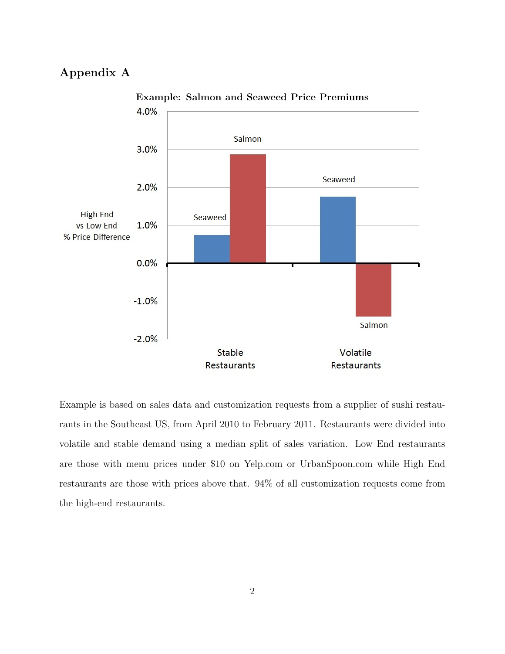# Appendix A



Example: Salmon and Seaweed Price Premiums

Example is based on sales data and customization requests from a supplier of sushi restaurants in the Southeast US, from April 2010 to February 2011. Restaurants were divided into volatile and stable demand using a median split of sales variation. Low End restaurants are those with menu prices under \$10 on Yelp.com or UrbanSpoon.com while High End restaurants are those with prices above that. 94% of all customization requests come from the high-end restaurants.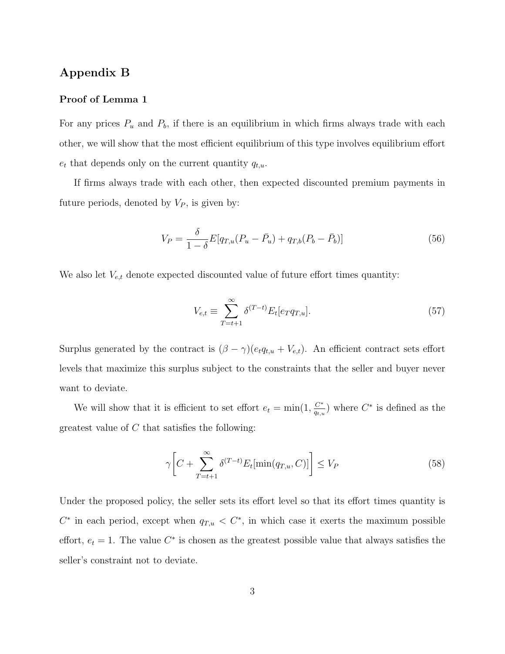# Appendix B

#### Proof of Lemma 1

For any prices  $P_u$  and  $P_b$ , if there is an equilibrium in which firms always trade with each other, we will show that the most efficient equilibrium of this type involves equilibrium effort  $e_t$  that depends only on the current quantity  $q_{t,u}$ .

If firms always trade with each other, then expected discounted premium payments in future periods, denoted by  $V_P$ , is given by:

$$
V_P = \frac{\delta}{1 - \delta} E[q_{T,u}(P_u - \bar{P}_u) + q_{T,b}(P_b - \bar{P}_b)]
$$
\n(56)

We also let  $V_{e,t}$  denote expected discounted value of future effort times quantity:

$$
V_{e,t} \equiv \sum_{T=t+1}^{\infty} \delta^{(T-t)} E_t[e_T q_{T,u}].
$$
\n(57)

Surplus generated by the contract is  $(\beta - \gamma)(e_t q_{t,u} + V_{e,t})$ . An efficient contract sets effort levels that maximize this surplus subject to the constraints that the seller and buyer never want to deviate.

We will show that it is efficient to set effort  $e_t = \min(1, \frac{C^*}{a_t})$  $\frac{C^*}{q_{t,u}}$ ) where  $C^*$  is defined as the greatest value of  $C$  that satisfies the following:

$$
\gamma \bigg[ C + \sum_{T=t+1}^{\infty} \delta^{(T-t)} E_t[\min(q_{T,u}, C)] \bigg] \le V_P \tag{58}
$$

Under the proposed policy, the seller sets its effort level so that its effort times quantity is  $C^*$  in each period, except when  $q_{T,u} < C^*$ , in which case it exerts the maximum possible effort,  $e_t = 1$ . The value  $C^*$  is chosen as the greatest possible value that always satisfies the seller's constraint not to deviate.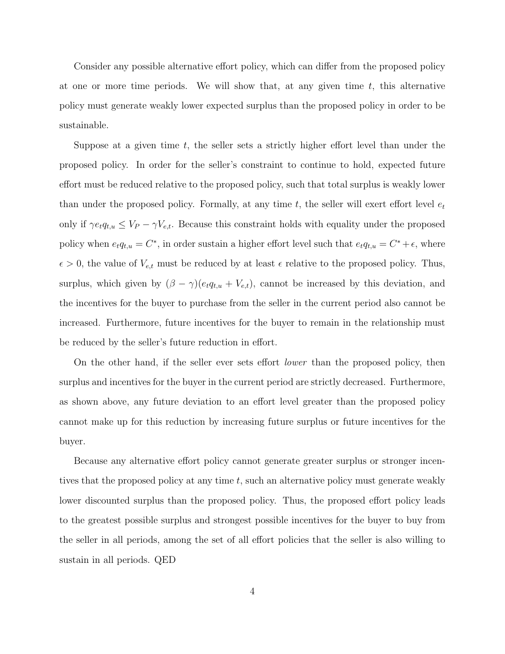Consider any possible alternative effort policy, which can differ from the proposed policy at one or more time periods. We will show that, at any given time  $t$ , this alternative policy must generate weakly lower expected surplus than the proposed policy in order to be sustainable.

Suppose at a given time t, the seller sets a strictly higher effort level than under the proposed policy. In order for the seller's constraint to continue to hold, expected future effort must be reduced relative to the proposed policy, such that total surplus is weakly lower than under the proposed policy. Formally, at any time t, the seller will exert effort level  $e_t$ only if  $\gamma e_t q_{t,u} \leq V_P - \gamma V_{e,t}$ . Because this constraint holds with equality under the proposed policy when  $e_t q_{t,u} = C^*$ , in order sustain a higher effort level such that  $e_t q_{t,u} = C^* + \epsilon$ , where  $\epsilon > 0$ , the value of  $V_{e,t}$  must be reduced by at least  $\epsilon$  relative to the proposed policy. Thus, surplus, which given by  $(\beta - \gamma)(e_t q_{t,u} + V_{e,t})$ , cannot be increased by this deviation, and the incentives for the buyer to purchase from the seller in the current period also cannot be increased. Furthermore, future incentives for the buyer to remain in the relationship must be reduced by the seller's future reduction in effort.

On the other hand, if the seller ever sets effort lower than the proposed policy, then surplus and incentives for the buyer in the current period are strictly decreased. Furthermore, as shown above, any future deviation to an effort level greater than the proposed policy cannot make up for this reduction by increasing future surplus or future incentives for the buyer.

Because any alternative effort policy cannot generate greater surplus or stronger incentives that the proposed policy at any time t, such an alternative policy must generate weakly lower discounted surplus than the proposed policy. Thus, the proposed effort policy leads to the greatest possible surplus and strongest possible incentives for the buyer to buy from the seller in all periods, among the set of all effort policies that the seller is also willing to sustain in all periods. QED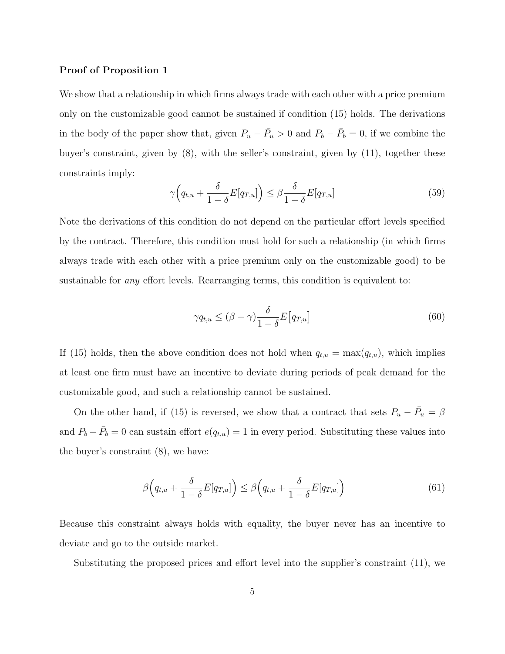#### Proof of Proposition 1

We show that a relationship in which firms always trade with each other with a price premium only on the customizable good cannot be sustained if condition (15) holds. The derivations in the body of the paper show that, given  $P_u - \bar{P}_u > 0$  and  $P_b - \bar{P}_b = 0$ , if we combine the buyer's constraint, given by (8), with the seller's constraint, given by (11), together these constraints imply:

$$
\gamma \Big( q_{t,u} + \frac{\delta}{1-\delta} E[q_{T,u}] \Big) \le \beta \frac{\delta}{1-\delta} E[q_{T,u}] \tag{59}
$$

Note the derivations of this condition do not depend on the particular effort levels specified by the contract. Therefore, this condition must hold for such a relationship (in which firms always trade with each other with a price premium only on the customizable good) to be sustainable for *any* effort levels. Rearranging terms, this condition is equivalent to:

$$
\gamma q_{t,u} \leq (\beta - \gamma) \frac{\delta}{1 - \delta} E\big[q_{T,u}\big] \tag{60}
$$

If (15) holds, then the above condition does not hold when  $q_{t,u} = \max(q_{t,u})$ , which implies at least one firm must have an incentive to deviate during periods of peak demand for the customizable good, and such a relationship cannot be sustained.

On the other hand, if (15) is reversed, we show that a contract that sets  $P_u - \bar{P}_u = \beta$ and  $P_b - \bar{P}_b = 0$  can sustain effort  $e(q_{t,u}) = 1$  in every period. Substituting these values into the buyer's constraint (8), we have:

$$
\beta\Big(q_{t,u} + \frac{\delta}{1-\delta}E[q_{T,u}]\Big) \le \beta\Big(q_{t,u} + \frac{\delta}{1-\delta}E[q_{T,u}]\Big) \tag{61}
$$

Because this constraint always holds with equality, the buyer never has an incentive to deviate and go to the outside market.

Substituting the proposed prices and effort level into the supplier's constraint (11), we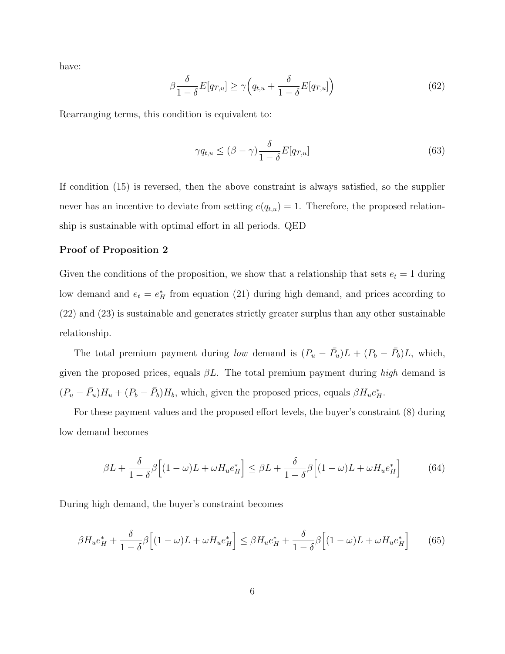have:

$$
\beta \frac{\delta}{1-\delta} E[q_{T,u}] \ge \gamma \Big( q_{t,u} + \frac{\delta}{1-\delta} E[q_{T,u}] \Big) \tag{62}
$$

Rearranging terms, this condition is equivalent to:

$$
\gamma q_{t,u} \leq (\beta - \gamma) \frac{\delta}{1 - \delta} E[q_{T,u}] \tag{63}
$$

If condition (15) is reversed, then the above constraint is always satisfied, so the supplier never has an incentive to deviate from setting  $e(q_{t,u}) = 1$ . Therefore, the proposed relationship is sustainable with optimal effort in all periods. QED

# Proof of Proposition 2

Given the conditions of the proposition, we show that a relationship that sets  $e_t = 1$  during low demand and  $e_t = e_H^*$  from equation (21) during high demand, and prices according to (22) and (23) is sustainable and generates strictly greater surplus than any other sustainable relationship.

The total premium payment during low demand is  $(P_u - \bar{P}_u)L + (P_b - \bar{P}_b)L$ , which, given the proposed prices, equals  $\beta L$ . The total premium payment during high demand is  $(P_u - \bar{P_u})H_u + (P_b - \bar{P_b})H_b$ , which, given the proposed prices, equals  $\beta H_u e_H^*$ .

For these payment values and the proposed effort levels, the buyer's constraint (8) during low demand becomes

$$
\beta L + \frac{\delta}{1 - \delta} \beta \Big[ (1 - \omega)L + \omega H_u e_H^* \Big] \leq \beta L + \frac{\delta}{1 - \delta} \beta \Big[ (1 - \omega)L + \omega H_u e_H^* \Big] \tag{64}
$$

During high demand, the buyer's constraint becomes

$$
\beta H_u e_H^* + \frac{\delta}{1-\delta} \beta \Big[ (1-\omega)L + \omega H_u e_H^* \Big] \leq \beta H_u e_H^* + \frac{\delta}{1-\delta} \beta \Big[ (1-\omega)L + \omega H_u e_H^* \Big] \tag{65}
$$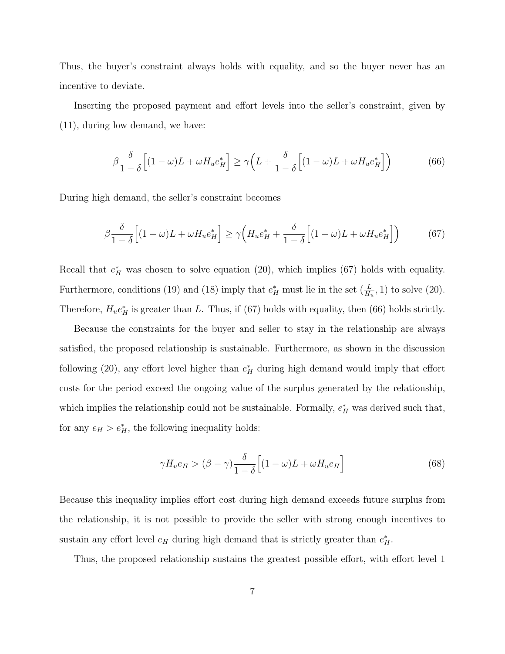Thus, the buyer's constraint always holds with equality, and so the buyer never has an incentive to deviate.

Inserting the proposed payment and effort levels into the seller's constraint, given by (11), during low demand, we have:

$$
\beta \frac{\delta}{1-\delta} \Big[ (1-\omega)L + \omega H_u e_H^* \Big] \ge \gamma \Big( L + \frac{\delta}{1-\delta} \Big[ (1-\omega)L + \omega H_u e_H^* \Big] \Big) \tag{66}
$$

During high demand, the seller's constraint becomes

$$
\beta \frac{\delta}{1-\delta} \Big[ (1-\omega)L + \omega H_u e_H^* \Big] \ge \gamma \Big( H_u e_H^* + \frac{\delta}{1-\delta} \Big[ (1-\omega)L + \omega H_u e_H^* \Big] \Big) \tag{67}
$$

Recall that  $e_H^*$  was chosen to solve equation (20), which implies (67) holds with equality. Furthermore, conditions (19) and (18) imply that  $e_H^*$  must lie in the set  $(\frac{L}{H_u}, 1)$  to solve (20). Therefore,  $H_u e_H^*$  is greater than L. Thus, if (67) holds with equality, then (66) holds strictly.

Because the constraints for the buyer and seller to stay in the relationship are always satisfied, the proposed relationship is sustainable. Furthermore, as shown in the discussion following (20), any effort level higher than  $e_H^*$  during high demand would imply that effort costs for the period exceed the ongoing value of the surplus generated by the relationship, which implies the relationship could not be sustainable. Formally,  $e_H^*$  was derived such that, for any  $e_H > e_H^*$ , the following inequality holds:

$$
\gamma H_u e_H > (\beta - \gamma) \frac{\delta}{1 - \delta} \Big[ (1 - \omega)L + \omega H_u e_H \Big] \tag{68}
$$

Because this inequality implies effort cost during high demand exceeds future surplus from the relationship, it is not possible to provide the seller with strong enough incentives to sustain any effort level  $e_H$  during high demand that is strictly greater than  $e_H^*$ .

Thus, the proposed relationship sustains the greatest possible effort, with effort level 1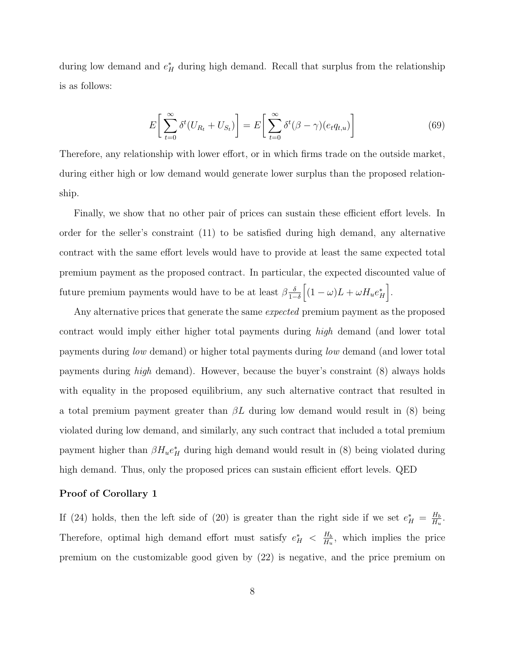during low demand and  $e_H^*$  during high demand. Recall that surplus from the relationship is as follows:

$$
E\left[\sum_{t=0}^{\infty} \delta^t (U_{R_t} + U_{S_t})\right] = E\left[\sum_{t=0}^{\infty} \delta^t (\beta - \gamma)(e_t q_{t,u})\right]
$$
(69)

Therefore, any relationship with lower effort, or in which firms trade on the outside market, during either high or low demand would generate lower surplus than the proposed relationship.

Finally, we show that no other pair of prices can sustain these efficient effort levels. In order for the seller's constraint (11) to be satisfied during high demand, any alternative contract with the same effort levels would have to provide at least the same expected total premium payment as the proposed contract. In particular, the expected discounted value of future premium payments would have to be at least  $\beta \frac{\delta}{\delta}$  $\frac{\delta}{1-\delta}\Big[(1-\omega)L+\omega H_u e_H^*\Big].$ 

Any alternative prices that generate the same *expected* premium payment as the proposed contract would imply either higher total payments during high demand (and lower total payments during low demand) or higher total payments during low demand (and lower total payments during high demand). However, because the buyer's constraint (8) always holds with equality in the proposed equilibrium, any such alternative contract that resulted in a total premium payment greater than  $\beta L$  during low demand would result in (8) being violated during low demand, and similarly, any such contract that included a total premium payment higher than  $\beta H_u e_H^*$  during high demand would result in (8) being violated during high demand. Thus, only the proposed prices can sustain efficient effort levels. QED

#### Proof of Corollary 1

If (24) holds, then the left side of (20) is greater than the right side if we set  $e_H^* = \frac{H_b}{H_u}$  $\frac{H_b}{H_u}$ . Therefore, optimal high demand effort must satisfy  $e_H^* \leq \frac{H_b}{H_u}$  $\frac{H_b}{H_u}$ , which implies the price premium on the customizable good given by (22) is negative, and the price premium on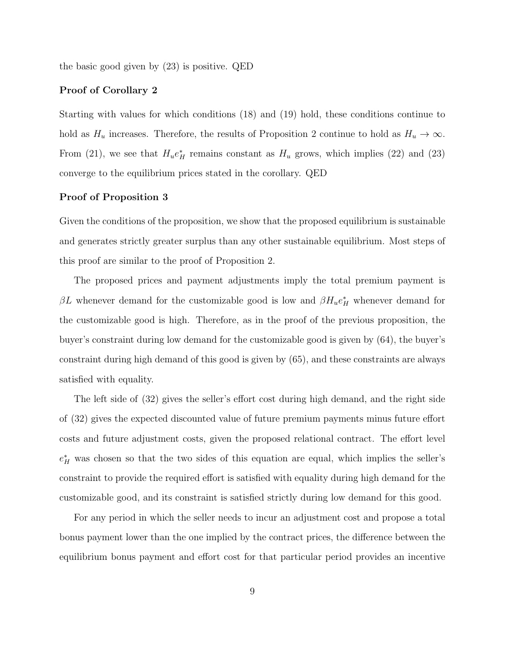the basic good given by (23) is positive. QED

## Proof of Corollary 2

Starting with values for which conditions (18) and (19) hold, these conditions continue to hold as  $H_u$  increases. Therefore, the results of Proposition 2 continue to hold as  $H_u \to \infty$ . From (21), we see that  $H_u e_H^*$  remains constant as  $H_u$  grows, which implies (22) and (23) converge to the equilibrium prices stated in the corollary. QED

#### Proof of Proposition 3

Given the conditions of the proposition, we show that the proposed equilibrium is sustainable and generates strictly greater surplus than any other sustainable equilibrium. Most steps of this proof are similar to the proof of Proposition 2.

The proposed prices and payment adjustments imply the total premium payment is  $\beta L$  whenever demand for the customizable good is low and  $\beta H_u e_H^*$  whenever demand for the customizable good is high. Therefore, as in the proof of the previous proposition, the buyer's constraint during low demand for the customizable good is given by (64), the buyer's constraint during high demand of this good is given by (65), and these constraints are always satisfied with equality.

The left side of (32) gives the seller's effort cost during high demand, and the right side of (32) gives the expected discounted value of future premium payments minus future effort costs and future adjustment costs, given the proposed relational contract. The effort level  $e_H^*$  was chosen so that the two sides of this equation are equal, which implies the seller's constraint to provide the required effort is satisfied with equality during high demand for the customizable good, and its constraint is satisfied strictly during low demand for this good.

For any period in which the seller needs to incur an adjustment cost and propose a total bonus payment lower than the one implied by the contract prices, the difference between the equilibrium bonus payment and effort cost for that particular period provides an incentive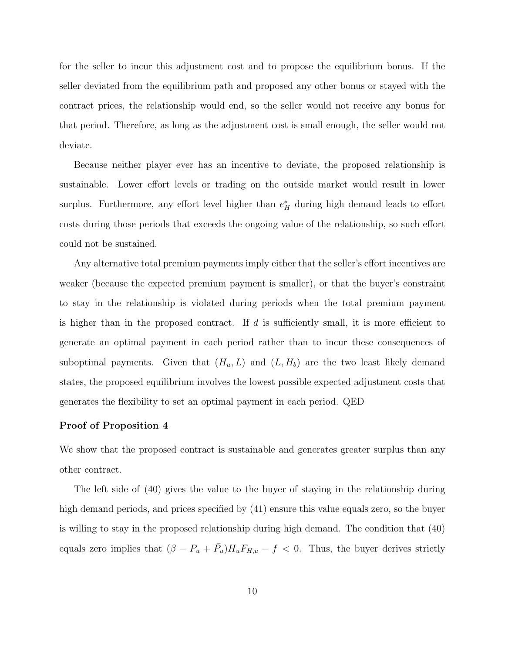for the seller to incur this adjustment cost and to propose the equilibrium bonus. If the seller deviated from the equilibrium path and proposed any other bonus or stayed with the contract prices, the relationship would end, so the seller would not receive any bonus for that period. Therefore, as long as the adjustment cost is small enough, the seller would not deviate.

Because neither player ever has an incentive to deviate, the proposed relationship is sustainable. Lower effort levels or trading on the outside market would result in lower surplus. Furthermore, any effort level higher than  $e_H^*$  during high demand leads to effort costs during those periods that exceeds the ongoing value of the relationship, so such effort could not be sustained.

Any alternative total premium payments imply either that the seller's effort incentives are weaker (because the expected premium payment is smaller), or that the buyer's constraint to stay in the relationship is violated during periods when the total premium payment is higher than in the proposed contract. If  $d$  is sufficiently small, it is more efficient to generate an optimal payment in each period rather than to incur these consequences of suboptimal payments. Given that  $(H_u, L)$  and  $(L, H_b)$  are the two least likely demand states, the proposed equilibrium involves the lowest possible expected adjustment costs that generates the flexibility to set an optimal payment in each period. QED

#### Proof of Proposition 4

We show that the proposed contract is sustainable and generates greater surplus than any other contract.

The left side of (40) gives the value to the buyer of staying in the relationship during high demand periods, and prices specified by (41) ensure this value equals zero, so the buyer is willing to stay in the proposed relationship during high demand. The condition that (40) equals zero implies that  $(\beta - P_u + \overline{P}_u)H_uF_{H,u} - f < 0$ . Thus, the buyer derives strictly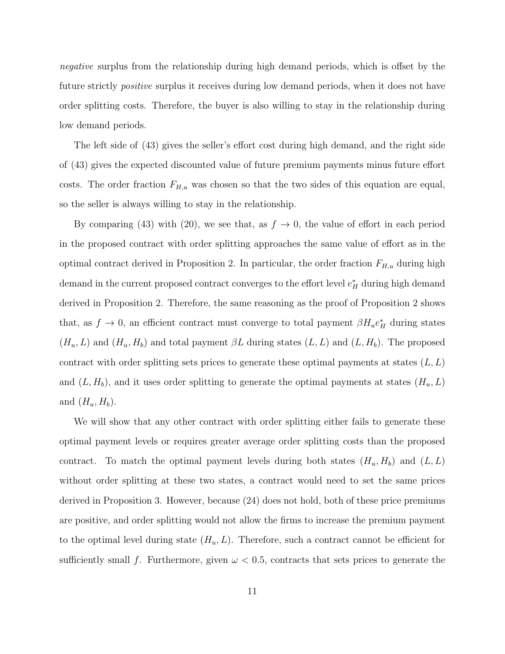negative surplus from the relationship during high demand periods, which is offset by the future strictly *positive* surplus it receives during low demand periods, when it does not have order splitting costs. Therefore, the buyer is also willing to stay in the relationship during low demand periods.

The left side of (43) gives the seller's effort cost during high demand, and the right side of (43) gives the expected discounted value of future premium payments minus future effort costs. The order fraction  $F_{H,u}$  was chosen so that the two sides of this equation are equal, so the seller is always willing to stay in the relationship.

By comparing (43) with (20), we see that, as  $f \to 0$ , the value of effort in each period in the proposed contract with order splitting approaches the same value of effort as in the optimal contract derived in Proposition 2. In particular, the order fraction  $F_{H,u}$  during high demand in the current proposed contract converges to the effort level  $e_H^*$  during high demand derived in Proposition 2. Therefore, the same reasoning as the proof of Proposition 2 shows that, as  $f \to 0$ , an efficient contract must converge to total payment  $\beta H_u e_H^*$  during states  $(H_u, L)$  and  $(H_u, H_b)$  and total payment  $\beta L$  during states  $(L, L)$  and  $(L, H_b)$ . The proposed contract with order splitting sets prices to generate these optimal payments at states  $(L, L)$ and  $(L, H_b)$ , and it uses order splitting to generate the optimal payments at states  $(H_u, L)$ and  $(H_u, H_b)$ .

We will show that any other contract with order splitting either fails to generate these optimal payment levels or requires greater average order splitting costs than the proposed contract. To match the optimal payment levels during both states  $(H_u, H_b)$  and  $(L, L)$ without order splitting at these two states, a contract would need to set the same prices derived in Proposition 3. However, because (24) does not hold, both of these price premiums are positive, and order splitting would not allow the firms to increase the premium payment to the optimal level during state  $(H_u, L)$ . Therefore, such a contract cannot be efficient for sufficiently small f. Furthermore, given  $\omega < 0.5$ , contracts that sets prices to generate the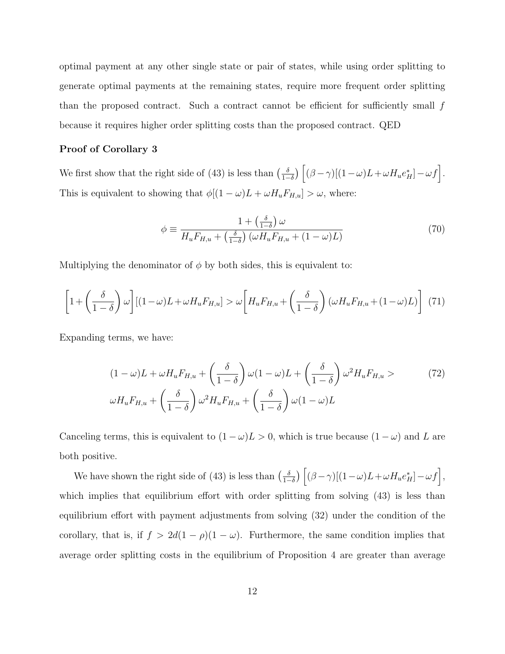optimal payment at any other single state or pair of states, while using order splitting to generate optimal payments at the remaining states, require more frequent order splitting than the proposed contract. Such a contract cannot be efficient for sufficiently small  $f$ because it requires higher order splitting costs than the proposed contract. QED

## Proof of Corollary 3

We first show that the right side of (43) is less than  $\left(\frac{\delta}{1-\delta}\right)$  $\frac{\delta}{1-\delta}\Big)\left[(\beta-\gamma)[(1-\omega)L+\omega H_u e_H^*]-\omega f\right].$ This is equivalent to showing that  $\phi[(1-\omega)L + \omega H_u F_{H,u}] > \omega$ , where:

$$
\phi \equiv \frac{1 + \left(\frac{\delta}{1 - \delta}\right)\omega}{H_u F_{H,u} + \left(\frac{\delta}{1 - \delta}\right)\left(\omega H_u F_{H,u} + (1 - \omega)L\right)}
$$
(70)

Multiplying the denominator of  $\phi$  by both sides, this is equivalent to:

$$
\left[1 + \left(\frac{\delta}{1-\delta}\right)\omega\right] \left[(1-\omega)L + \omega H_u F_{H,u}\right] > \omega \left[H_u F_{H,u} + \left(\frac{\delta}{1-\delta}\right)(\omega H_u F_{H,u} + (1-\omega)L)\right] \tag{71}
$$

Expanding terms, we have:

$$
(1 - \omega)L + \omega H_u F_{H,u} + \left(\frac{\delta}{1 - \delta}\right) \omega (1 - \omega)L + \left(\frac{\delta}{1 - \delta}\right) \omega^2 H_u F_{H,u} > \qquad (72)
$$

$$
\omega H_u F_{H,u} + \left(\frac{\delta}{1 - \delta}\right) \omega^2 H_u F_{H,u} + \left(\frac{\delta}{1 - \delta}\right) \omega (1 - \omega)L
$$

Canceling terms, this is equivalent to  $(1 - \omega)L > 0$ , which is true because  $(1 - \omega)$  and L are both positive.

We have shown the right side of (43) is less than  $\left(\frac{\delta}{1-\delta}\right)$  $\frac{\delta}{1-\delta}\Big)\left[ (\beta-\gamma)[(1-\omega)L+\omega H_u e_H^*]-\omega f\right],$ which implies that equilibrium effort with order splitting from solving  $(43)$  is less than equilibrium effort with payment adjustments from solving (32) under the condition of the corollary, that is, if  $f > 2d(1 - \rho)(1 - \omega)$ . Furthermore, the same condition implies that average order splitting costs in the equilibrium of Proposition 4 are greater than average